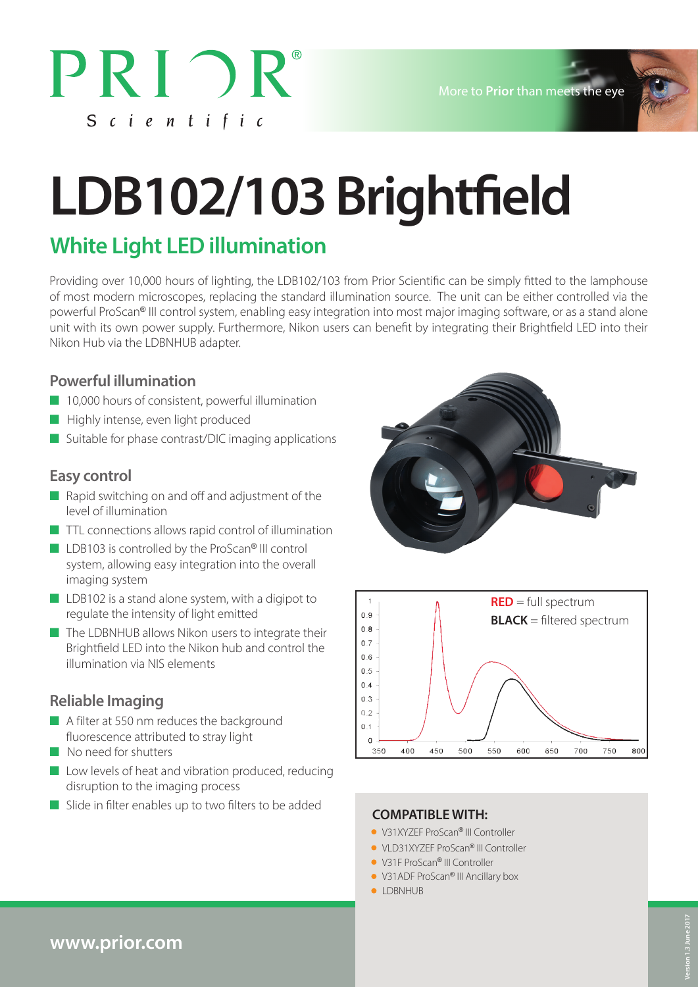

# **LDB102/103 Brightfield**

# **White Light LED illumination**

Providing over 10,000 hours of lighting, the LDB102/103 from Prior Scientific can be simply fitted to the lamphouse of most modern microscopes, replacing the standard illumination source. The unit can be either controlled via the powerful ProScan® III control system, enabling easy integration into most major imaging software, or as a stand alone unit with its own power supply. Furthermore, Nikon users can benefit by integrating their Brightfield LED into their Nikon Hub via the LDBNHUB adapter.

# **Powerful illumination**

- 10,000 hours of consistent, powerful illumination
- ■Highly intense, even light produced
- Suitable for phase contrast/DIC imaging applications

## **Easy control**

- Rapid switching on and off and adjustment of the level of illumination
- TTL connections allows rapid control of illumination
- LDB103 is controlled by the ProScan<sup>®</sup> III control system, allowing easy integration into the overall imaging system
- LDB102 is a stand alone system, with a digipot to regulate the intensity of light emitted
- The LDBNHUB allows Nikon users to integrate their Brightfield LED into the Nikon hub and control the illumination via NIS elements

# **Reliable Imaging**

- A filter at 550 nm reduces the background fluorescence attributed to stray light
- No need for shutters
- Low levels of heat and vibration produced, reducing disruption to the imaging process
- Slide in filter enables up to two filters to be added **COMPATIBLE WITH:**





- **•** V31XYZEF ProScan® III Controller
- **•** VLD31XYZEF ProScan® III Controller
- **•** V31F ProScan® III Controller
- **•** V31ADF ProScan® III Ancillary box
- **•** LDBNHUB